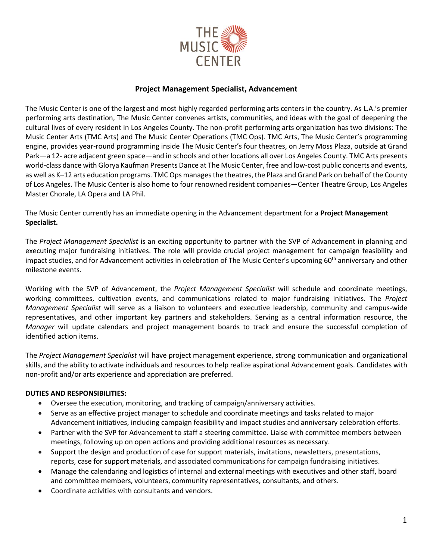

# **Project Management Specialist, Advancement**

The Music Center is one of the largest and most highly regarded performing arts centers in the country. As L.A.'s premier performing arts destination, The Music Center convenes artists, communities, and ideas with the goal of deepening the cultural lives of every resident in Los Angeles County. The non-profit performing arts organization has two divisions: The Music Center Arts (TMC Arts) and The Music Center Operations (TMC Ops). TMC Arts, The Music Center's programming engine, provides year-round programming inside The Music Center's four theatres, on Jerry Moss Plaza, outside at Grand Park—a 12- acre adjacent green space—and in schools and other locations all over Los Angeles County. TMC Arts presents world-class dance with Glorya Kaufman Presents Dance at The Music Center, free and low-cost public concerts and events, as well as K–12 arts education programs. TMC Ops manages the theatres, the Plaza and Grand Park on behalf of the County of Los Angeles. The Music Center is also home to four renowned resident companies—Center Theatre Group, Los Angeles Master Chorale, LA Opera and LA Phil.

The Music Center currently has an immediate opening in the Advancement department for a **Project Management Specialist.**

The *Project Management Specialist* is an exciting opportunity to partner with the SVP of Advancement in planning and executing major fundraising initiatives. The role will provide crucial project management for campaign feasibility and impact studies, and for Advancement activities in celebration of The Music Center's upcoming 60<sup>th</sup> anniversary and other milestone events.

Working with the SVP of Advancement, the *Project Management Specialist* will schedule and coordinate meetings, working committees, cultivation events, and communications related to major fundraising initiatives. The *Project Management Specialist* will serve as a liaison to volunteers and executive leadership, community and campus-wide representatives, and other important key partners and stakeholders. Serving as a central information resource, the *Manager* will update calendars and project management boards to track and ensure the successful completion of identified action items.

The *Project Management Specialist* will have project management experience, strong communication and organizational skills, and the ability to activate individuals and resources to help realize aspirational Advancement goals. Candidates with non-profit and/or arts experience and appreciation are preferred.

### **DUTIES AND RESPONSIBILITIES:**

- Oversee the execution, monitoring, and tracking of campaign/anniversary activities.
- Serve as an effective project manager to schedule and coordinate meetings and tasks related to major Advancement initiatives, including campaign feasibility and impact studies and anniversary celebration efforts.
- Partner with the SVP for Advancement to staff a steering committee. Liaise with committee members between meetings, following up on open actions and providing additional resources as necessary.
- Support the design and production of case for support materials, invitations, newsletters, presentations, reports, case for support materials, and associated communications for campaign fundraising initiatives.
- Manage the calendaring and logistics of internal and external meetings with executives and other staff, board and committee members, volunteers, community representatives, consultants, and others.
- Coordinate activities with consultants and vendors.